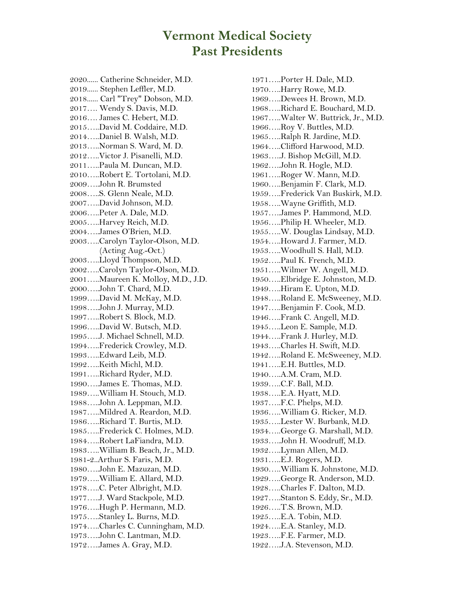## **Vermont Medical Society Past Presidents**

2020...... Catherine Schneider, M.D. 2019...... Stephen Leffler, M.D. 2018...... Carl "Trey" Dobson, M.D. 2017…. Wendy S. Davis, M.D. 2016…. James C. Hebert, M.D. 2015…..David M. Coddaire, M.D. 2014…..Daniel B. Walsh, M.D. 2013…..Norman S. Ward, M. D. 2012…..Victor J. Pisanelli, M.D. 2011…..Paula M. Duncan, M.D. 2010…..Robert E. Tortolani, M.D. 2009…..John R. Brumsted 2008…..S. Glenn Neale, M.D. 2007…..David Johnson, M.D. 2006…..Peter A. Dale, M.D. 2005…..Harvey Reich, M.D. 2004…..James O'Brien, M.D. 2003…..Carolyn Taylor-Olson, M.D. (Acting Aug.-Oct.) 2003…..Lloyd Thompson, M.D. 2002…..Carolyn Taylor-Olson, M.D. 2001…..Maureen K. Molloy, M.D., J.D. 2000…..John T. Chard, M.D. 1999…..David M. McKay, M.D. 1998…..John J. Murray, M.D. 1997…..Robert S. Block, M.D. 1996…..David W. Butsch, M.D. 1995…..J. Michael Schnell, M.D. 1994…..Frederick Crowley, M.D. 1993…..Edward Leib, M.D. 1992…..Keith Michl, M.D. 1991…..Richard Ryder, M.D. 1990…..James E. Thomas, M.D. 1989…..William H. Stouch, M.D. 1988…..John A. Leppman, M.D. 1987…..Mildred A. Reardon, M.D. 1986…..Richard T. Burtis, M.D. 1985…..Frederick C. Holmes, M.D. 1984…..Robert LaFiandra, M.D. 1983…..William B. Beach, Jr., M.D. 1981-2..Arthur S. Faris, M.D. 1980…..John E. Mazuzan, M.D. 1979…..William E. Allard, M.D. 1978…..C. Peter Albright, M.D. 1977…..J. Ward Stackpole, M.D. 1976…..Hugh P. Hermann, M.D. 1975…..Stanley L. Burns, M.D. 1974…..Charles C. Cunningham, M.D. 1973…..John C. Lantman, M.D. 1972…..James A. Gray, M.D.

1971…..Porter H. Dale, M.D. 1970…..Harry Rowe, M.D. 1969…..Dewees H. Brown, M.D. 1968…..Richard E. Bouchard, M.D. 1967…..Walter W. Buttrick, Jr., M.D. 1966…..Roy V. Buttles, M.D. 1965…..Ralph R. Jardine, M.D. 1964…..Clifford Harwood, M.D. 1963…..J. Bishop McGill, M.D. 1962…..John R. Hogle, M.D. 1961…..Roger W. Mann, M.D. 1960…..Benjamin F. Clark, M.D. 1959…..Frederick Van Buskirk, M.D. 1958…..Wayne Griffith, M.D. 1957…..James P. Hammond, M.D. 1956…..Philip H. Wheeler, M.D. 1955…..W. Douglas Lindsay, M.D. 1954…..Howard J. Farmer, M.D. 1953…..Woodhull S. Hall, M.D. 1952…..Paul K. French, M.D. 1951…..Wilmer W. Angell, M.D. 1950…..Elbridge E. Johnston, M.D. 1949…..Hiram E. Upton, M.D. 1948…..Roland E. McSweeney, M.D. 1947…..Benjamin F. Cook, M.D. 1946…..Frank C. Angell, M.D. 1945…..Leon E. Sample, M.D. 1944…..Frank J. Hurley, M.D. 1943…..Charles H. Swift, M.D. 1942…..Roland E. McSweeney, M.D. 1941…..E.H. Buttles, M.D. 1940…..A.M. Cram, M.D. 1939…..C.F. Ball, M.D. 1938…..E.A. Hyatt, M.D. 1937…..F.C. Phelps, M.D. 1936…..William G. Ricker, M.D. 1935…..Lester W. Burbank, M.D. 1934…..George G. Marshall, M.D. 1933…..John H. Woodruff, M.D. 1932…..Lyman Allen, M.D. 1931…..E.J. Rogers, M.D. 1930…..William K. Johnstone, M.D. 1929…..George R. Anderson, M.D. 1928…..Charles F. Dalton, M.D. 1927…..Stanton S. Eddy, Sr., M.D. 1926…..T.S. Brown, M.D. 1925…..E.A. Tobin, M.D. 1924…..E.A. Stanley, M.D. 1923…..F.E. Farmer, M.D. 1922…..J.A. Stevenson, M.D.